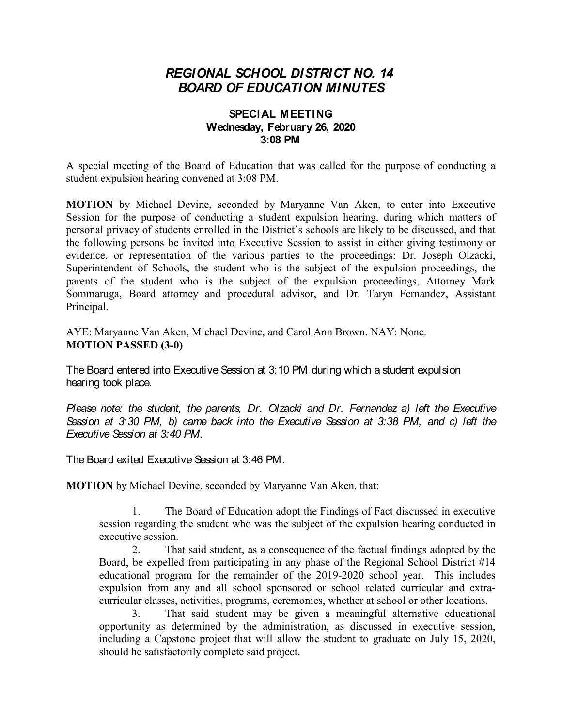## *REGIONAL SCHOOL DISTRICT NO. 14 BOARD OF EDUCATION MINUTES*

## **SPECIAL MEETING Wednesday, February 26, 2020 3:08 PM**

A special meeting of the Board of Education that was called for the purpose of conducting a student expulsion hearing convened at 3:08 PM.

**MOTION** by Michael Devine, seconded by Maryanne Van Aken, to enter into Executive Session for the purpose of conducting a student expulsion hearing, during which matters of personal privacy of students enrolled in the District's schools are likely to be discussed, and that the following persons be invited into Executive Session to assist in either giving testimony or evidence, or representation of the various parties to the proceedings: Dr. Joseph Olzacki, Superintendent of Schools, the student who is the subject of the expulsion proceedings, the parents of the student who is the subject of the expulsion proceedings, Attorney Mark Sommaruga, Board attorney and procedural advisor, and Dr. Taryn Fernandez, Assistant Principal.

AYE: Maryanne Van Aken, Michael Devine, and Carol Ann Brown. NAY: None. **MOTION PASSED (3-0)**

The Board entered into Executive Session at 3:10 PM during which a student expulsion hearing took place.

*Please note: the student, the parents, Dr. Olzacki and Dr. Fernandez a) left the Executive Session at 3:30 PM, b) came back into the Executive Session at 3:38 PM, and c) left the Executive Session at 3:40 PM*.

The Board exited Executive Session at 3:46 PM.

**MOTION** by Michael Devine, seconded by Maryanne Van Aken, that:

1. The Board of Education adopt the Findings of Fact discussed in executive session regarding the student who was the subject of the expulsion hearing conducted in executive session.

2. That said student, as a consequence of the factual findings adopted by the Board, be expelled from participating in any phase of the Regional School District #14 educational program for the remainder of the 2019-2020 school year. This includes expulsion from any and all school sponsored or school related curricular and extracurricular classes, activities, programs, ceremonies, whether at school or other locations.

That said student may be given a meaningful alternative educational opportunity as determined by the administration, as discussed in executive session, including a Capstone project that will allow the student to graduate on July 15, 2020, should he satisfactorily complete said project.